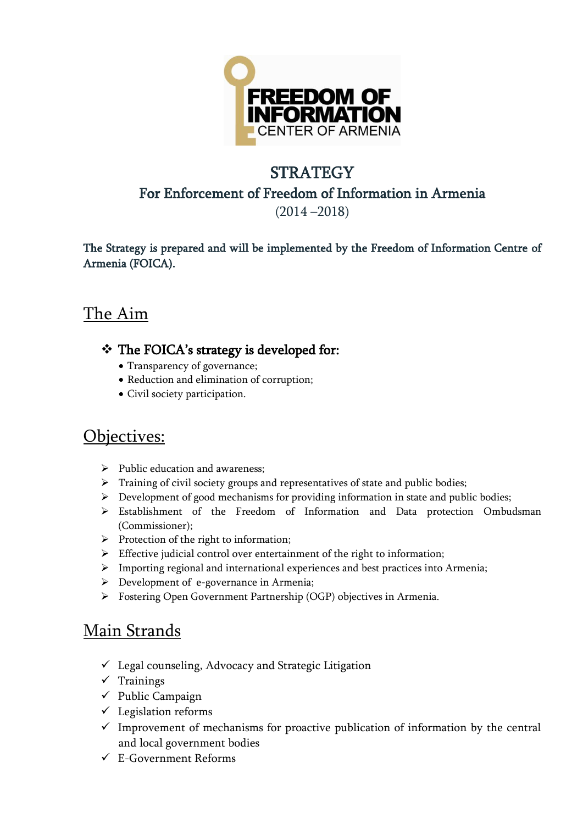

### **STRATEGY** For Enforcement of Freedom of Information in Armenia

(2014 –2018)

The Strategy is prepared and will be implemented by the Freedom of Information Centre of Armenia (FOICA).

# The Aim

### The FOICA's strategy is developed for:

- Transparency of governance;
- Reduction and elimination of corruption;
- Civil society participation.

### Objectives:

- $\triangleright$  Public education and awareness:
- > Training of civil society groups and representatives of state and public bodies;
- $\triangleright$  Development of good mechanisms for providing information in state and public bodies;
- Establishment of the Freedom of Information and Data protection Ombudsman (Commissioner);
- $\triangleright$  Protection of the right to information;
- $\triangleright$  Effective judicial control over entertainment of the right to information;
- $\triangleright$  Importing regional and international experiences and best practices into Armenia;
- $\triangleright$  Development of e-governance in Armenia;
- Fostering Open Government Partnership (OGP) objectives in Armenia.

# Main Strands

- $\checkmark$  Legal counseling, Advocacy and Strategic Litigation
- $\checkmark$  Trainings
- $\checkmark$  Public Campaign
- $\checkmark$  Legislation reforms
- $\checkmark$  Improvement of mechanisms for proactive publication of information by the central and local government bodies
- $\checkmark$  E-Government Reforms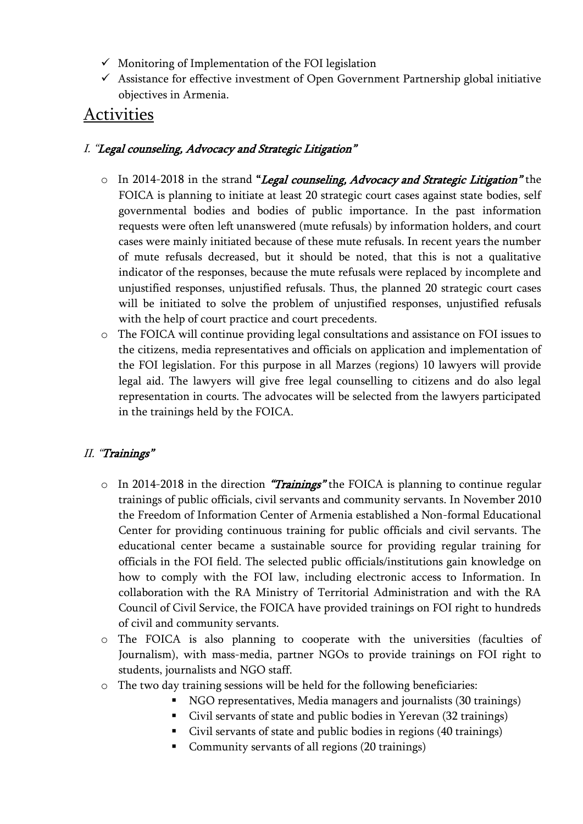- $\checkmark$  Monitoring of Implementation of the FOI legislation
- $\checkmark$  Assistance for effective investment of Open Government Partnership global initiative objectives in Armenia.

### Activities

#### I. "Legal counseling, Advocacy and Strategic Litigation"

- $\circ$  In 2014-2018 in the strand "Legal counseling, Advocacy and Strategic Litigation" the FOICA is planning to initiate at least 20 strategic court cases against state bodies, self governmental bodies and bodies of public importance. In the past information requests were often left unanswered (mute refusals) by information holders, and court cases were mainly initiated because of these mute refusals. In recent years the number of mute refusals decreased, but it should be noted, that this is not a qualitative indicator of the responses, because the mute refusals were replaced by incomplete and unjustified responses, unjustified refusals. Thus, the planned 20 strategic court cases will be initiated to solve the problem of unjustified responses, unjustified refusals with the help of court practice and court precedents.
- o The FOICA will continue providing legal consultations and assistance on FOI issues to the citizens, media representatives and officials on application and implementation of the FOI legislation. For this purpose in all Marzes (regions) 10 lawyers will provide legal aid. The lawyers will give free legal counselling to citizens and do also legal representation in courts. The advocates will be selected from the lawyers participated in the trainings held by the FOICA.

#### II. "Trainings"

- $\circ$  In 2014-2018 in the direction "Trainings" the FOICA is planning to continue regular trainings of public officials, civil servants and community servants. In November 2010 the Freedom of Information Center of Armenia established a Non-formal Educational Center for providing continuous training for public officials and civil servants. The educational center became a sustainable source for providing regular training for officials in the FOI field. The selected public officials/institutions gain knowledge on how to comply with the FOI law, including electronic access to Information. In collaboration with the RA Ministry of Territorial Administration and with the RA Council of Civil Service, the FOICA have provided trainings on FOI right to hundreds of civil and community servants.
- o The FOICA is also planning to cooperate with the universities (faculties of Journalism), with mass-media, partner NGOs to provide trainings on FOI right to students, journalists and NGO staff.
- o The two day training sessions will be held for the following beneficiaries:
	- NGO representatives, Media managers and journalists (30 trainings)
	- Civil servants of state and public bodies in Yerevan (32 trainings)
	- Civil servants of state and public bodies in regions (40 trainings)
	- Community servants of all regions (20 trainings)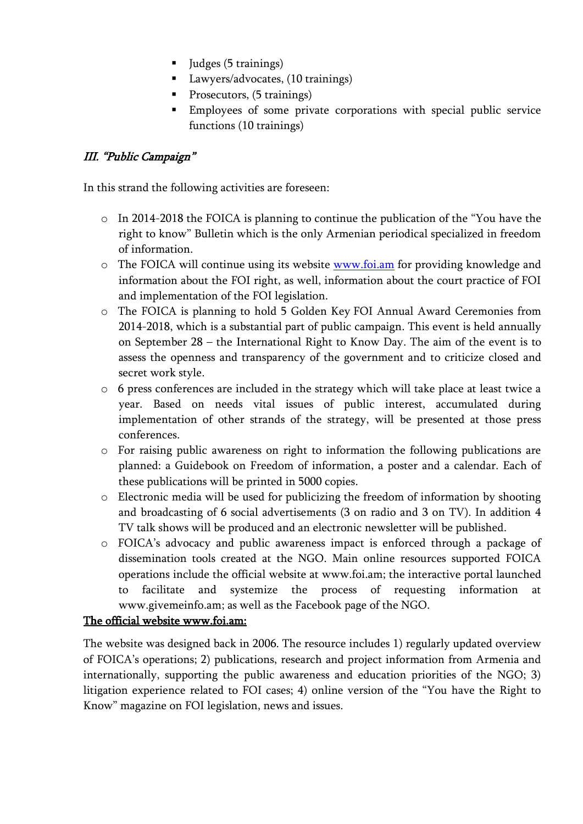- Judges (5 trainings)
- Lawyers/advocates, (10 trainings)
- **Prosecutors**, (5 trainings)
- Employees of some private corporations with special public service functions (10 trainings)

#### III. "Public Campaign"

In this strand the following activities are foreseen:

- o In 2014-2018 the FOICA is planning to continue the publication of the "You have the right to know" Bulletin which is the only Armenian periodical specialized in freedom of information.
- o The FOICA will continue using its website [www.foi.am](http://www.foi.am/) for providing knowledge and information about the FOI right, as well, information about the court practice of FOI and implementation of the FOI legislation.
- o The FOICA is planning to hold 5 Golden Key FOI Annual Award Ceremonies from 2014-2018, which is a substantial part of public campaign. This event is held annually on September 28 – the International Right to Know Day. The aim of the event is to assess the openness and transparency of the government and to criticize closed and secret work style.
- o 6 press conferences are included in the strategy which will take place at least twice a year. Based on needs vital issues of public interest, accumulated during implementation of other strands of the strategy, will be presented at those press conferences.
- o For raising public awareness on right to information the following publications are planned: a Guidebook on Freedom of information, a poster and a calendar. Each of these publications will be printed in 5000 copies.
- o Electronic media will be used for publicizing the freedom of information by shooting and broadcasting of 6 social advertisements (3 on radio and 3 on TV). In addition 4 TV talk shows will be produced and an electronic newsletter will be published.
- o FOICA's advocacy and public awareness impact is enforced through a package of dissemination tools created at the NGO. Main online resources supported FOICA operations include the official website at [www.foi.am;](http://www.foi.am/) the interactive portal launched to facilitate and systemize the process of requesting information at [www.givemeinfo.am;](http://www.givemeinfo.am/) as well as the Facebook page of the NGO.

#### The official website www.foi.am:

The website was designed back in 2006. The resource includes 1) regularly updated overview of FOICA's operations; 2) publications, research and project information from Armenia and internationally, supporting the public awareness and education priorities of the NGO; 3) litigation experience related to FOI cases; 4) online version of the "You have the Right to Know" magazine on FOI legislation, news and issues.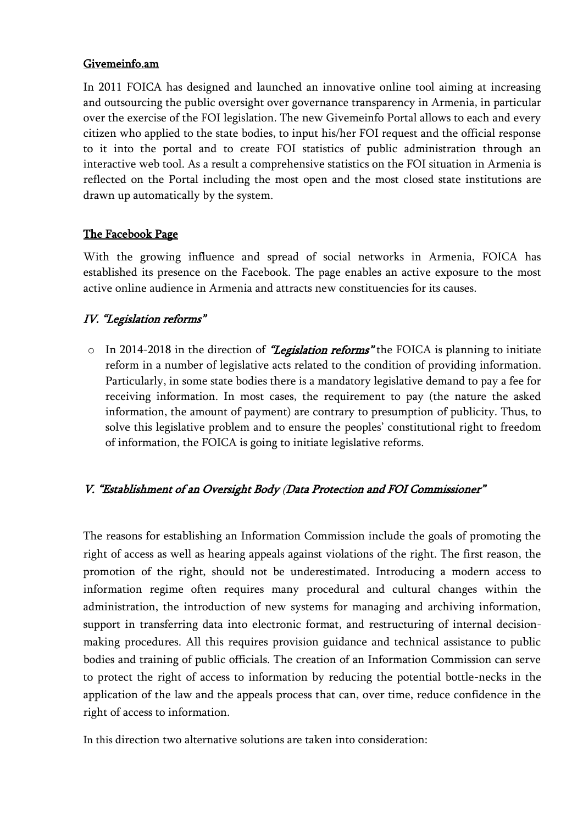#### Givemeinfo.am

In 2011 FOICA has designed and launched an innovative online tool aiming at increasing and outsourcing the public oversight over governance transparency in Armenia, in particular over the exercise of the FOI legislation. The new Givemeinfo Portal allows to each and every citizen who applied to the state bodies, to input his/her FOI request and the official response to it into the portal and to create FOI statistics of public administration through an interactive web tool. As a result a comprehensive statistics on the FOI situation in Armenia is reflected on the Portal including the most open and the most closed state institutions are drawn up automatically by the system.

#### The Facebook Page

With the growing influence and spread of social networks in Armenia, FOICA has established its presence on the Facebook. The page enables an active exposure to the most active online audience in Armenia and attracts new constituencies for its causes.

#### IV. "Legislation reforms"

 $\circ$  In 2014-2018 in the direction of *"Legislation reforms*" the FOICA is planning to initiate reform in a number of legislative acts related to the condition of providing information. Particularly, in some state bodies there is a mandatory legislative demand to pay a fee for receiving information. In most cases, the requirement to pay (the nature the asked information, the amount of payment) are contrary to presumption of publicity. Thus, to solve this legislative problem and to ensure the peoples' constitutional right to freedom of information, the FOICA is going to initiate legislative reforms.

#### V. "Establishment of an Oversight Body (Data Protection and FOI Commissioner"

The reasons for establishing an Information Commission include the goals of promoting the right of access as well as hearing appeals against violations of the right. The first reason, the promotion of the right, should not be underestimated. Introducing a modern access to information regime often requires many procedural and cultural changes within the administration, the introduction of new systems for managing and archiving information, support in transferring data into electronic format, and restructuring of internal decisionmaking procedures. All this requires provision guidance and technical assistance to public bodies and training of public officials. The creation of an Information Commission can serve to protect the right of access to information by reducing the potential bottle-necks in the application of the law and the appeals process that can, over time, reduce confidence in the right of access to information.

In this direction two alternative solutions are taken into consideration: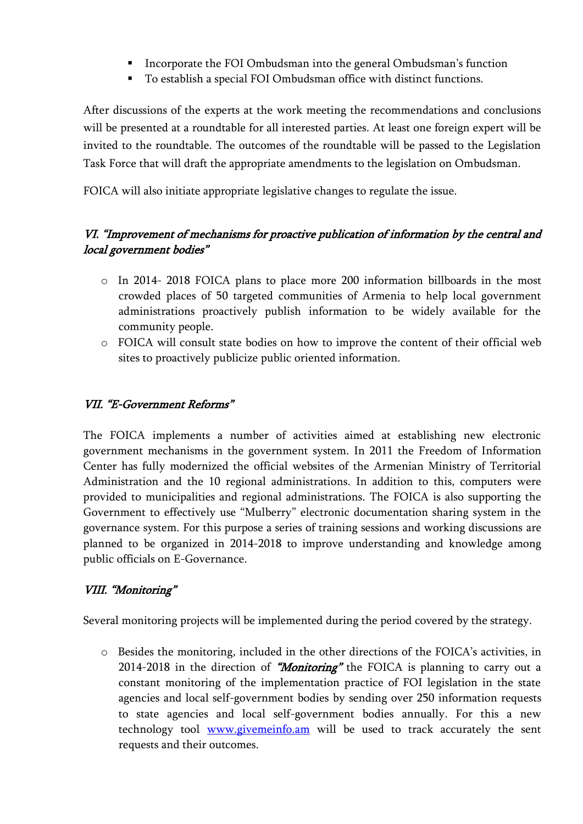- Incorporate the FOI Ombudsman into the general Ombudsman's function
- To establish a special FOI Ombudsman office with distinct functions.

After discussions of the experts at the work meeting the recommendations and conclusions will be presented at a roundtable for all interested parties. At least one foreign expert will be invited to the roundtable. The outcomes of the roundtable will be passed to the Legislation Task Force that will draft the appropriate amendments to the legislation on Ombudsman.

FOICA will also initiate appropriate legislative changes to regulate the issue.

#### VI. "Improvement of mechanisms for proactive publication of information by the central and local government bodies"

- o In 2014- 2018 FOICA plans to place more 200 information billboards in the most crowded places of 50 targeted communities of Armenia to help local government administrations proactively publish information to be widely available for the community people.
- o FOICA will consult state bodies on how to improve the content of their official web sites to proactively publicize public oriented information.

#### VII. "E-Government Reforms"

The FOICA implements a number of activities aimed at establishing new electronic government mechanisms in the government system. In 2011 the Freedom of Information Center has fully modernized the official websites of the Armenian Ministry of Territorial Administration and the 10 regional administrations. In addition to this, computers were provided to municipalities and regional administrations. The FOICA is also supporting the Government to effectively use "Mulberry" electronic documentation sharing system in the governance system. For this purpose a series of training sessions and working discussions are planned to be organized in 2014-2018 to improve understanding and knowledge among public officials on E-Governance.

#### VIII. "Monitoring"

Several monitoring projects will be implemented during the period covered by the strategy.

o Besides the monitoring, included in the other directions of the FOICA's activities, in 2014-2018 in the direction of "Monitoring" the FOICA is planning to carry out a constant monitoring of the implementation practice of FOI legislation in the state agencies and local self-government bodies by sending over 250 information requests to state agencies and local self-government bodies annually. For this a new technology tool [www.givemeinfo.am](http://www.givemeinfo.am/) will be used to track accurately the sent requests and their outcomes.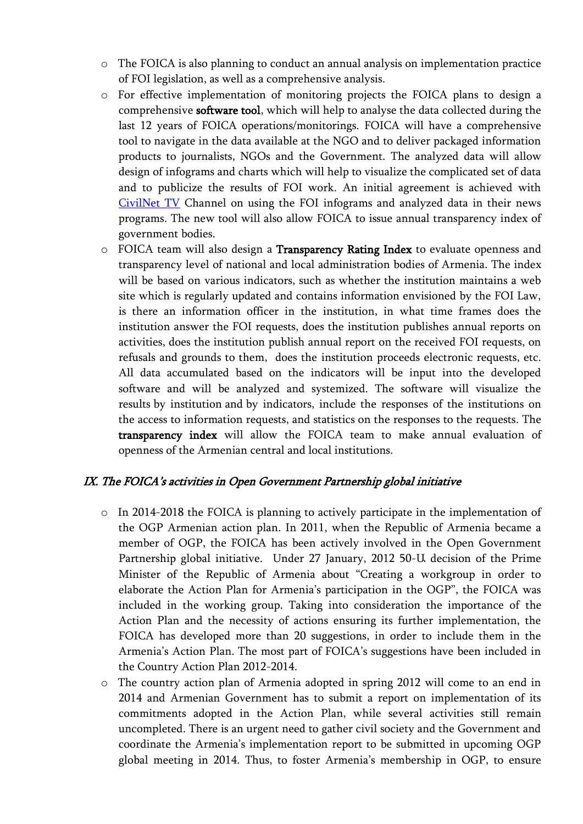- o The FOICA is also planning to conduct an annual analysis on implementation practice of FOI legislation, as well as a comprehensive analysis.
- o For effective implementation of monitoring projects the FOICA plans to design a comprehensive software tool, which will help to analyse the data collected during the last 12 years of FOICA operations/monitorings. FOICA will have a comprehensive tool to navigate in the data available at the NGO and to deliver packaged information products to journalists, NGOs and the Government. The analyzed data will allow design of infograms and charts which will help to visualize the complicated set of data and to publicize the results of FOI work. An initial agreement is achieved with [CivilNet TV](http://civilnet.am/) Channel on using the FOI infograms and analyzed data in their news programs. The new tool will also allow FOICA to issue annual transparency index of government bodies.
- $\circ$  FOICA team will also design a **Transparency Rating Index** to evaluate openness and transparency level of national and local administration bodies of Armenia. The index will be based on various indicators, such as whether the institution maintains a web site which is regularly updated and contains information envisioned by the FOI Law, is there an information officer in the institution, in what time frames does the institution answer the FOI requests, does the institution publishes annual reports on activities, does the institution publish annual report on the received FOI requests, on refusals and grounds to them, does the institution proceeds electronic requests, etc. All data accumulated based on the indicators will be input into the developed software and will be analyzed and systemized. The software will visualize the results [by institution](http://www.aip-bg.org/surveys/%D0%A0%D0%B5%D0%B7%D1%83%D0%BB%D1%82%D0%B0%D1%82%D0%B8_%D0%BF%D0%BE_%D0%B8%D0%BD%D1%81%D1%82%D0%B8%D1%82%D1%83%D1%86%D0%B8%D0%B8/206149/) and [by indicators,](http://www.aip-bg.org/surveys/db/2013ii/stats+indicators.php) include the responses of the institutions on the access to information requests, and [statistics on the responses to the requests.](http://www.aip-bg.org/surveys/db/2013ii/stats.php) The transparency index will allow the FOICA team to make annual evaluation of openness of the Armenian central and local institutions.

#### IX. The FOICA's activities in Open Government Partnership global initiative

- o In 2014-2018 the FOICA is planning to actively participate in the implementation of the OGP Armenian action plan. In 2011, when the Republic of Armenia became a member of OGP, the FOICA has been actively involved in the Open Government Partnership global initiative. Under 27 January, 2012 50-Ա decision of the Prime Minister of the Republic of Armenia about "Creating a workgroup in order to elaborate the Action Plan for Armenia's participation in the OGP", the FOICA was included in the working group. Taking into consideration the importance of the Action Plan and the necessity of actions ensuring its further implementation, the FOICA has developed more than 20 suggestions, in order to include them in the Armenia's Action Plan. The most part of FOICA's suggestions have been included in the Country Action Plan 2012-2014.
- o The country action plan of Armenia adopted in spring 2012 will come to an end in 2014 and Armenian Government has to submit a report on implementation of its commitments adopted in the Action Plan, while several activities still remain uncompleted. There is an urgent need to gather civil society and the Government and coordinate the Armenia's implementation report to be submitted in upcoming OGP global meeting in 2014. Thus, to foster Armenia's membership in OGP, to ensure